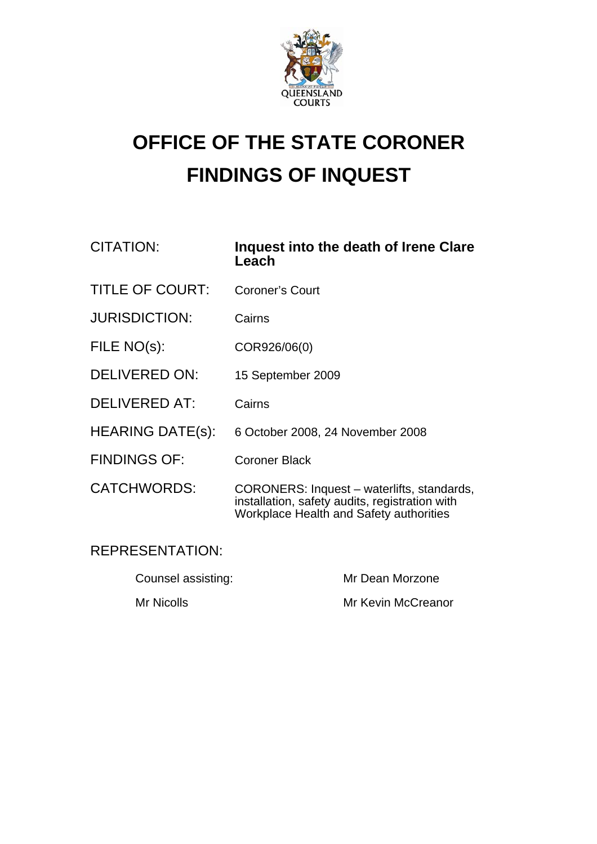

# **OFFICE OF THE STATE CORONER FINDINGS OF INQUEST**

| CITATION:              | Inquest into the death of Irene Clare<br>Leach |
|------------------------|------------------------------------------------|
| <b>TITLE OF COURT:</b> | Coroner's Court                                |
| <b>JURISDICTION:</b>   | Cairns                                         |
| FILE NO(s):            | COR926/06(0)                                   |
| <b>DELIVERED ON:</b>   | 15 September 2009                              |

- DELIVERED AT: Cairns
- HEARING DATE(s): 6 October 2008, 24 November 2008
- FINDINGS OF: Coroner Black
- CATCHWORDS: CORONERS: Inquest waterlifts, standards, installation, safety audits, registration with Workplace Health and Safety authorities

## REPRESENTATION:

| Counsel assisting: | Mr Dean Morzone    |
|--------------------|--------------------|
| Mr Nicolls         | Mr Kevin McCreanor |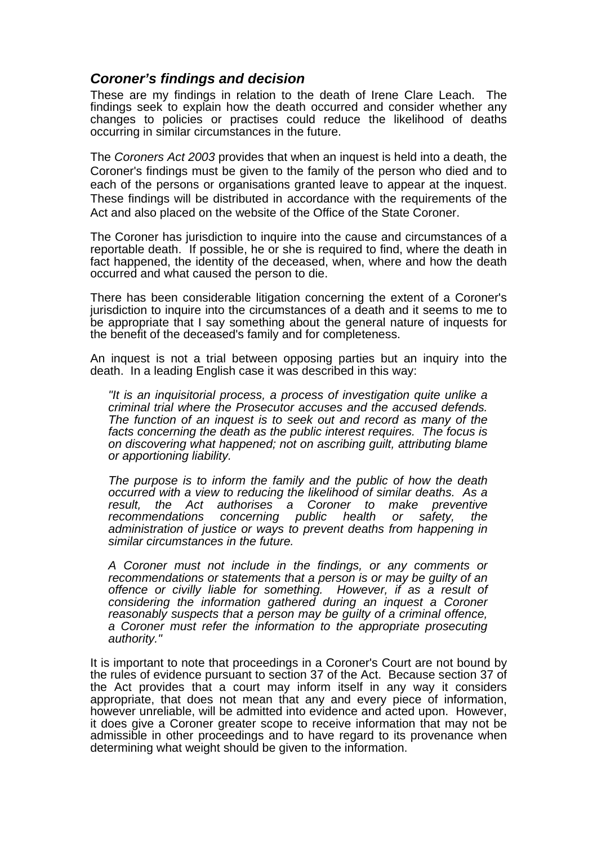## *Coroner's findings and decision*

These are my findings in relation to the death of Irene Clare Leach. The findings seek to explain how the death occurred and consider whether any changes to policies or practises could reduce the likelihood of deaths occurring in similar circumstances in the future.

The *Coroners Act 2003* provides that when an inquest is held into a death, the Coroner's findings must be given to the family of the person who died and to each of the persons or organisations granted leave to appear at the inquest. These findings will be distributed in accordance with the requirements of the Act and also placed on the website of the Office of the State Coroner.

The Coroner has jurisdiction to inquire into the cause and circumstances of a reportable death. If possible, he or she is required to find, where the death in fact happened, the identity of the deceased, when, where and how the death occurred and what caused the person to die.

There has been considerable litigation concerning the extent of a Coroner's jurisdiction to inquire into the circumstances of a death and it seems to me to be appropriate that I say something about the general nature of inquests for the benefit of the deceased's family and for completeness.

An inquest is not a trial between opposing parties but an inquiry into the death. In a leading English case it was described in this way:

*"It is an inquisitorial process, a process of investigation quite unlike a criminal trial where the Prosecutor accuses and the accused defends. The function of an inquest is to seek out and record as many of the facts concerning the death as the public interest requires. The focus is on discovering what happened; not on ascribing guilt, attributing blame or apportioning liability.* 

*The purpose is to inform the family and the public of how the death occurred with a view to reducing the likelihood of similar deaths. As a result, the Act authorises a Coroner to make preventive recommendations concerning public health or safety, the administration of justice or ways to prevent deaths from happening in similar circumstances in the future.* 

*A Coroner must not include in the findings, or any comments or recommendations or statements that a person is or may be guilty of an offence or civilly liable for something. However, if as a result of considering the information gathered during an inquest a Coroner reasonably suspects that a person may be guilty of a criminal offence, a Coroner must refer the information to the appropriate prosecuting authority."* 

It is important to note that proceedings in a Coroner's Court are not bound by the rules of evidence pursuant to section 37 of the Act. Because section 37 of the Act provides that a court may inform itself in any way it considers appropriate, that does not mean that any and every piece of information, however unreliable, will be admitted into evidence and acted upon. However, it does give a Coroner greater scope to receive information that may not be admissible in other proceedings and to have regard to its provenance when determining what weight should be given to the information.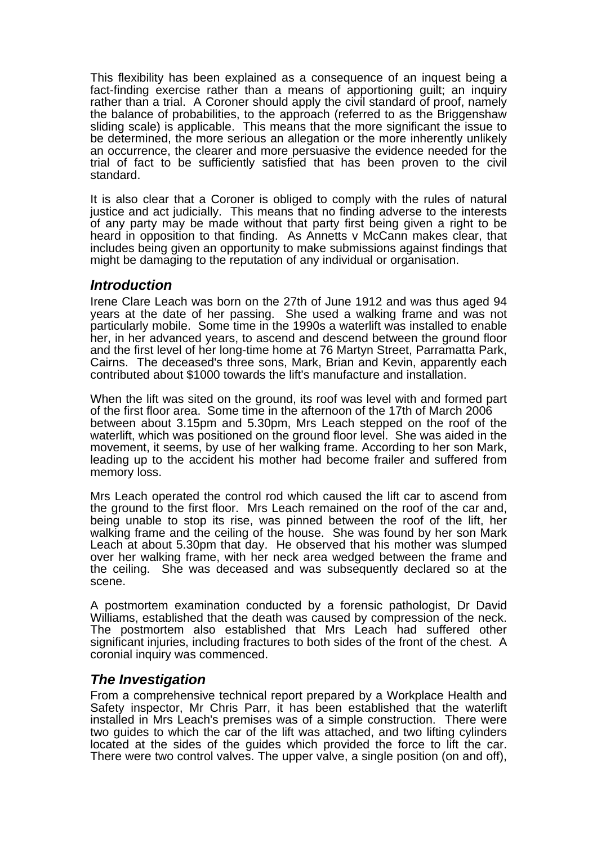This flexibility has been explained as a consequence of an inquest being a fact-finding exercise rather than a means of apportioning guilt; an inquiry rather than a trial. A Coroner should apply the civil standard of proof, namely the balance of probabilities, to the approach (referred to as the Briggenshaw sliding scale) is applicable. This means that the more significant the issue to be determined, the more serious an allegation or the more inherently unlikely an occurrence, the clearer and more persuasive the evidence needed for the trial of fact to be sufficiently satisfied that has been proven to the civil standard.

It is also clear that a Coroner is obliged to comply with the rules of natural justice and act judicially. This means that no finding adverse to the interests of any party may be made without that party first being given a right to be heard in opposition to that finding. As Annetts v McCann makes clear, that includes being given an opportunity to make submissions against findings that might be damaging to the reputation of any individual or organisation.

#### *Introduction*

Irene Clare Leach was born on the 27th of June 1912 and was thus aged 94 years at the date of her passing. She used a walking frame and was not particularly mobile. Some time in the 1990s a waterlift was installed to enable her, in her advanced years, to ascend and descend between the ground floor and the first level of her long-time home at 76 Martyn Street, Parramatta Park, Cairns. The deceased's three sons, Mark, Brian and Kevin, apparently each contributed about \$1000 towards the lift's manufacture and installation.

When the lift was sited on the ground, its roof was level with and formed part of the first floor area. Some time in the afternoon of the 17th of March 2006 between about 3.15pm and 5.30pm, Mrs Leach stepped on the roof of the waterlift, which was positioned on the ground floor level. She was aided in the movement, it seems, by use of her walking frame. According to her son Mark, leading up to the accident his mother had become frailer and suffered from memory loss.

Mrs Leach operated the control rod which caused the lift car to ascend from the ground to the first floor. Mrs Leach remained on the roof of the car and, being unable to stop its rise, was pinned between the roof of the lift, her walking frame and the ceiling of the house. She was found by her son Mark Leach at about 5.30pm that day. He observed that his mother was slumped over her walking frame, with her neck area wedged between the frame and the ceiling. She was deceased and was subsequently declared so at the scene.

A postmortem examination conducted by a forensic pathologist, Dr David Williams, established that the death was caused by compression of the neck. The postmortem also established that Mrs Leach had suffered other significant injuries, including fractures to both sides of the front of the chest. A coronial inquiry was commenced.

## *The Investigation*

From a comprehensive technical report prepared by a Workplace Health and Safety inspector, Mr Chris Parr, it has been established that the waterlift installed in Mrs Leach's premises was of a simple construction. There were two guides to which the car of the lift was attached, and two lifting cylinders located at the sides of the guides which provided the force to lift the car. There were two control valves. The upper valve, a single position (on and off),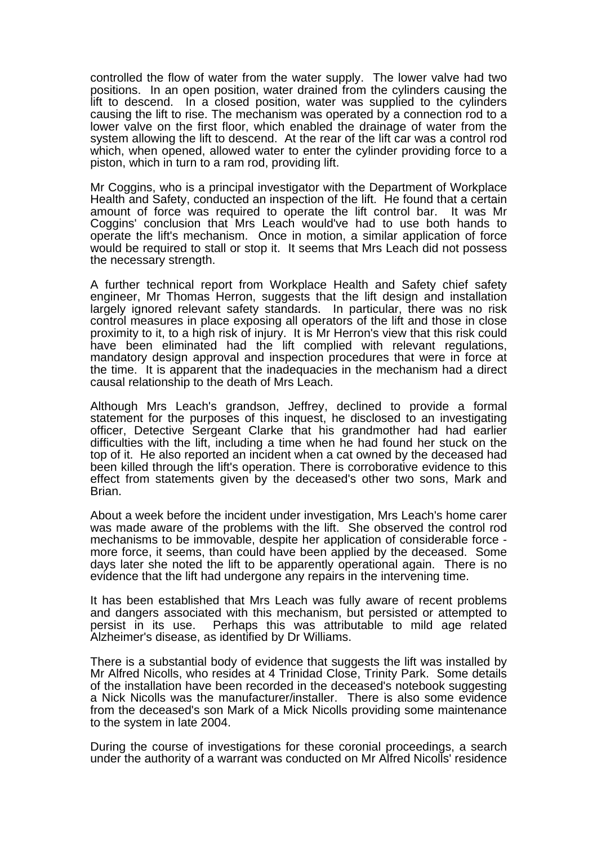controlled the flow of water from the water supply. The lower valve had two positions. In an open position, water drained from the cylinders causing the lift to descend. In a closed position, water was supplied to the cylinders causing the lift to rise. The mechanism was operated by a connection rod to a lower valve on the first floor, which enabled the drainage of water from the system allowing the lift to descend. At the rear of the lift car was a control rod which, when opened, allowed water to enter the cylinder providing force to a piston, which in turn to a ram rod, providing lift.

Mr Coggins, who is a principal investigator with the Department of Workplace Health and Safety, conducted an inspection of the lift. He found that a certain amount of force was required to operate the lift control bar. It was Mr Coggins' conclusion that Mrs Leach would've had to use both hands to operate the lift's mechanism. Once in motion, a similar application of force would be required to stall or stop it. It seems that Mrs Leach did not possess the necessary strength.

A further technical report from Workplace Health and Safety chief safety engineer, Mr Thomas Herron, suggests that the lift design and installation largely ignored relevant safety standards. In particular, there was no risk control measures in place exposing all operators of the lift and those in close proximity to it, to a high risk of injury. It is Mr Herron's view that this risk could have been eliminated had the lift complied with relevant regulations, mandatory design approval and inspection procedures that were in force at the time. It is apparent that the inadequacies in the mechanism had a direct causal relationship to the death of Mrs Leach.

Although Mrs Leach's grandson, Jeffrey, declined to provide a formal statement for the purposes of this inquest, he disclosed to an investigating officer, Detective Sergeant Clarke that his grandmother had had earlier difficulties with the lift, including a time when he had found her stuck on the top of it. He also reported an incident when a cat owned by the deceased had been killed through the lift's operation. There is corroborative evidence to this effect from statements given by the deceased's other two sons, Mark and Brian.

About a week before the incident under investigation, Mrs Leach's home carer was made aware of the problems with the lift. She observed the control rod mechanisms to be immovable, despite her application of considerable force more force, it seems, than could have been applied by the deceased. Some days later she noted the lift to be apparently operational again. There is no evidence that the lift had undergone any repairs in the intervening time.

It has been established that Mrs Leach was fully aware of recent problems and dangers associated with this mechanism, but persisted or attempted to persist in its use. Perhaps this was attributable to mild age related Perhaps this was attributable to mild age related Alzheimer's disease, as identified by Dr Williams.

There is a substantial body of evidence that suggests the lift was installed by Mr Alfred Nicolls, who resides at 4 Trinidad Close, Trinity Park. Some details of the installation have been recorded in the deceased's notebook suggesting a Nick Nicolls was the manufacturer/installer. There is also some evidence from the deceased's son Mark of a Mick Nicolls providing some maintenance to the system in late 2004.

During the course of investigations for these coronial proceedings, a search under the authority of a warrant was conducted on Mr Alfred Nicolls' residence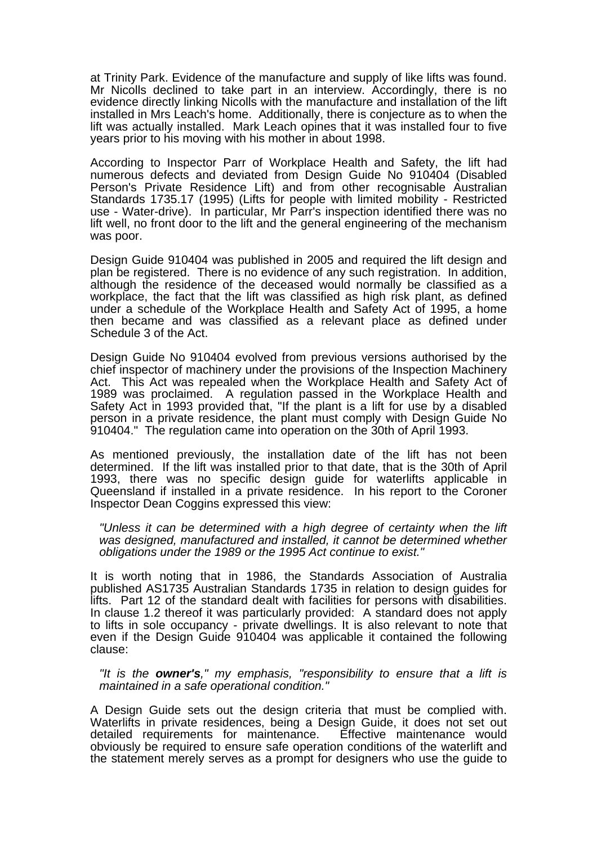at Trinity Park. Evidence of the manufacture and supply of like lifts was found. Mr Nicolls declined to take part in an interview. Accordingly, there is no evidence directly linking Nicolls with the manufacture and installation of the lift installed in Mrs Leach's home. Additionally, there is conjecture as to when the lift was actually installed. Mark Leach opines that it was installed four to five years prior to his moving with his mother in about 1998.

According to Inspector Parr of Workplace Health and Safety, the lift had numerous defects and deviated from Design Guide No 910404 (Disabled Person's Private Residence Lift) and from other recognisable Australian Standards 1735.17 (1995) (Lifts for people with limited mobility - Restricted use - Water-drive). In particular, Mr Parr's inspection identified there was no lift well, no front door to the lift and the general engineering of the mechanism was poor.

Design Guide 910404 was published in 2005 and required the lift design and plan be registered. There is no evidence of any such registration. In addition, although the residence of the deceased would normally be classified as a workplace, the fact that the lift was classified as high risk plant, as defined under a schedule of the Workplace Health and Safety Act of 1995, a home then became and was classified as a relevant place as defined under Schedule 3 of the Act.

Design Guide No 910404 evolved from previous versions authorised by the chief inspector of machinery under the provisions of the Inspection Machinery Act. This Act was repealed when the Workplace Health and Safety Act of 1989 was proclaimed. A regulation passed in the Workplace Health and Safety Act in 1993 provided that, "If the plant is a lift for use by a disabled person in a private residence, the plant must comply with Design Guide No 910404." The regulation came into operation on the 30th of April 1993.

As mentioned previously, the installation date of the lift has not been determined. If the lift was installed prior to that date, that is the 30th of April 1993, there was no specific design guide for waterlifts applicable in Queensland if installed in a private residence. In his report to the Coroner Inspector Dean Coggins expressed this view:

*"Unless it can be determined with a high degree of certainty when the lift was designed, manufactured and installed, it cannot be determined whether obligations under the 1989 or the 1995 Act continue to exist."* 

It is worth noting that in 1986, the Standards Association of Australia published AS1735 Australian Standards 1735 in relation to design guides for lifts. Part 12 of the standard dealt with facilities for persons with disabilities. In clause 1.2 thereof it was particularly provided: A standard does not apply to lifts in sole occupancy - private dwellings. It is also relevant to note that even if the Design Guide 910404 was applicable it contained the following clause:

*"It is the owner's," my emphasis, "responsibility to ensure that a lift is maintained in a safe operational condition."* 

A Design Guide sets out the design criteria that must be complied with. Waterlifts in private residences, being a Design Guide, it does not set out detailed requirements for maintenance. Effective maintenance would obviously be required to ensure safe operation conditions of the waterlift and the statement merely serves as a prompt for designers who use the guide to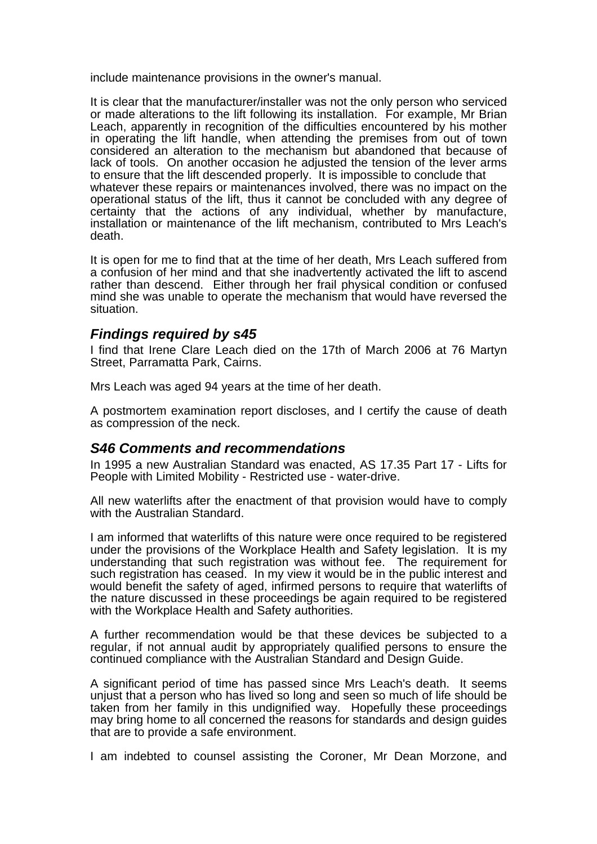include maintenance provisions in the owner's manual.

It is clear that the manufacturer/installer was not the only person who serviced or made alterations to the lift following its installation. For example, Mr Brian Leach, apparently in recognition of the difficulties encountered by his mother in operating the lift handle, when attending the premises from out of town considered an alteration to the mechanism but abandoned that because of lack of tools. On another occasion he adjusted the tension of the lever arms to ensure that the lift descended properly. It is impossible to conclude that whatever these repairs or maintenances involved, there was no impact on the operational status of the lift, thus it cannot be concluded with any degree of certainty that the actions of any individual, whether by manufacture, installation or maintenance of the lift mechanism, contributed to Mrs Leach's death.

It is open for me to find that at the time of her death, Mrs Leach suffered from a confusion of her mind and that she inadvertently activated the lift to ascend rather than descend. Either through her frail physical condition or confused mind she was unable to operate the mechanism that would have reversed the situation.

### *Findings required by s45*

I find that Irene Clare Leach died on the 17th of March 2006 at 76 Martyn Street, Parramatta Park, Cairns.

Mrs Leach was aged 94 years at the time of her death.

A postmortem examination report discloses, and I certify the cause of death as compression of the neck.

#### *S46 Comments and recommendations*

In 1995 a new Australian Standard was enacted, AS 17.35 Part 17 - Lifts for People with Limited Mobility - Restricted use - water-drive.

All new waterlifts after the enactment of that provision would have to comply with the Australian Standard.

I am informed that waterlifts of this nature were once required to be registered under the provisions of the Workplace Health and Safety legislation. It is my understanding that such registration was without fee. The requirement for such registration has ceased. In my view it would be in the public interest and would benefit the safety of aged, infirmed persons to require that waterlifts of the nature discussed in these proceedings be again required to be registered with the Workplace Health and Safety authorities.

A further recommendation would be that these devices be subjected to a regular, if not annual audit by appropriately qualified persons to ensure the continued compliance with the Australian Standard and Design Guide.

A significant period of time has passed since Mrs Leach's death. It seems unjust that a person who has lived so long and seen so much of life should be taken from her family in this undignified way. Hopefully these proceedings may bring home to all concerned the reasons for standards and design guides that are to provide a safe environment.

I am indebted to counsel assisting the Coroner, Mr Dean Morzone, and